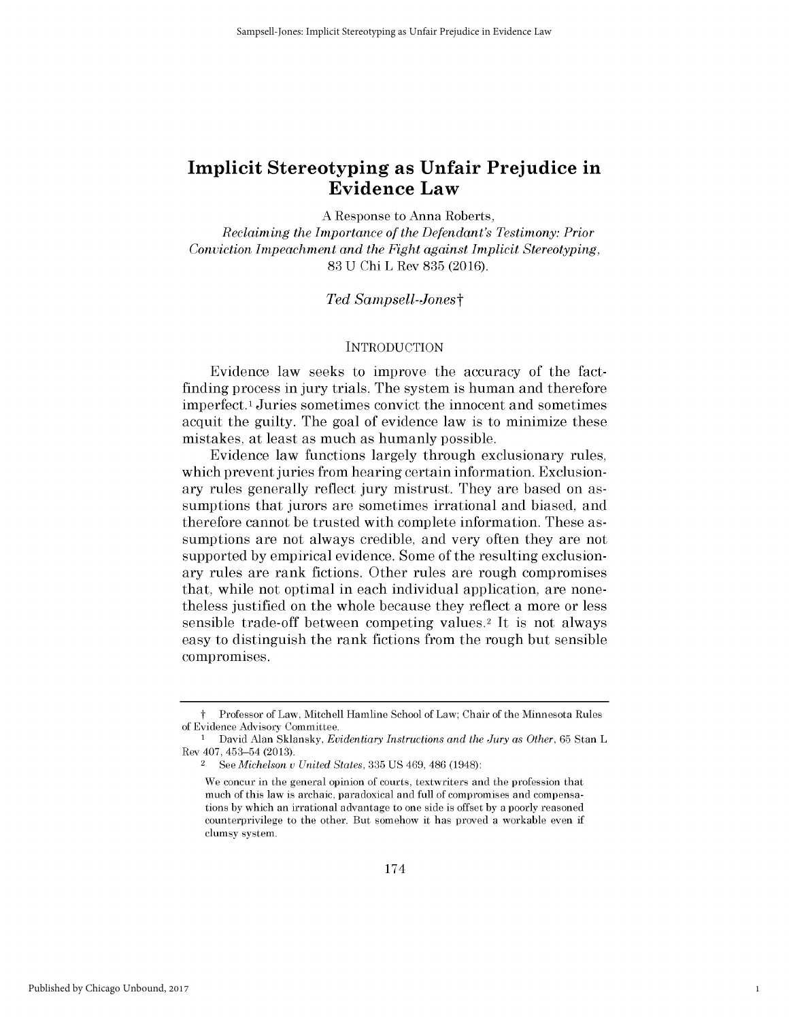**A** Response to Anna Roberts,

*Reclaiming the Importance of the Defendant's Testimony: Prior Conviction Impeachment and the Fight against Implicit Stereotyping,* **83 U** Chi L Rev **835 (2016).**

### *Ted Sampsell-Jonest*

## **INTRODUCTION**

Evidence law seeks to improve the accuracy of the factfinding process in jury trials. The system is human and therefore imperfect.1 Juries sometimes convict the innocent and sometimes acquit the guilty. The goal of evidence law is to minimize these mistakes, at least as much as humanly possible.

Evidence law functions largely through exclusionary rules, which prevent juries from hearing certain information. Exclusionary rules generally reflect jury mistrust. They are based on assumptions that jurors are sometimes irrational and biased, and therefore cannot be trusted with complete information. These assumptions are not always credible, and very often they are not supported **by** empirical evidence. Some of the resulting exclusionary rules are rank fictions. Other rules are rough compromises that, while not optimal in each individual application, are nonetheless justified on the whole because they reflect a more or less sensible trade-off between competing values.2 It is not always easy to distinguish the rank fictions from the rough but sensible compromises.

1

t Professor of Law, Mitchell Hamline School of Law; Chair of the Minnesota Rules of Evidence Advisory Committee.

<sup>1</sup> David Alan Sklansky, *Evidentiary Instructions and the Jury as Other,* **65** Stan L Rev 407, 453-54 **(2013).**

<sup>2</sup>*See Michelson u United States,* **335 US** 469, 486 (1948):

We concur in the general opinion of courts, textwriters and the profession that much of this law is archaic, paradoxical and full of compromises and compensations **by** which an irrational advantage to one side is offset **by** a poorly reasoned counterprivilege to the other. But somehow **it** has proved a workable even if **clumsy** system.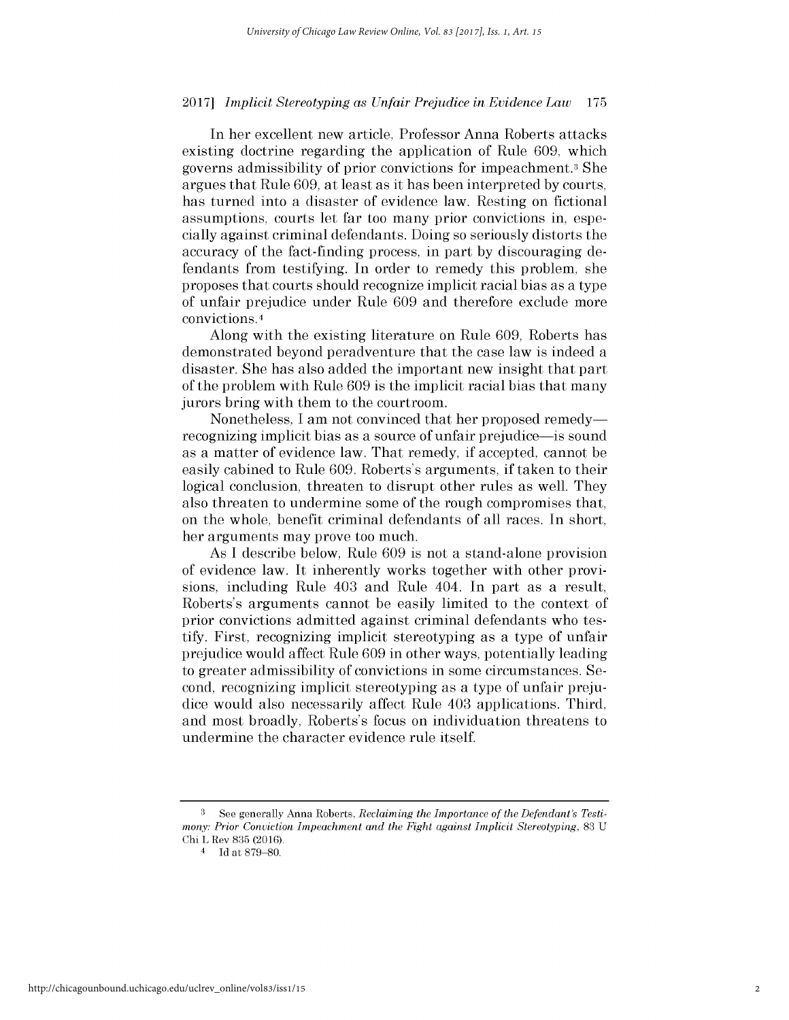In her excellent new article, Professor Anna Roberts attacks existing doctrine regarding the application of Rule **609,** which governs admissibility of prior convictions for impeachment.3 She argues that Rule **609,** at least as it has been interpreted **by** courts, has turned into a disaster of evidence law. Resting on fictional assumptions, courts let far too many prior convictions in, especially against criminal defendants. Doing so seriously distorts the accuracy of the fact-finding process, in part **by** discouraging defendants from testifying. In order to remedy this problem, she proposes that courts should recognize implicit racial bias as a type of unfair prejudice under Rule **609** and therefore exclude more convictions.4

Along with the existing literature on Rule **609,** Roberts has demonstrated beyond peradventure that the case law is indeed a disaster. She has also added the important new insight that part of the problem with Rule **609** is the implicit racial bias that many jurors bring with them to the courtroom.

Nonetheless, I am not convinced that her proposed remedyrecognizing implicit bias as a source of unfair prejudice—is sound as a matter of evidence law. That remedy, **if** accepted, cannot be easily cabined to Rule **609.** Roberts's arguments, if taken to their logical conclusion, threaten to disrupt other rules as well. They also threaten to undermine some of the rough compromises that, on the whole, benefit criminal defendants of all races. In short, her arguments may prove too much.

As **I** describe below, Rule **609** is not a stand-alone provision of evidence law. It inherently works together with other provisions, including Rule 403 and Rule 404. In part as a result, Roberts's arguments cannot be easily limited to the context of prior convictions admitted against criminal defendants who testify. First, recognizing implicit stereotyping as a type of unfair prejudice would affect Rule **609** in other ways, potentially leading to greater admissibility of convictions in some circumstances. Second, recognizing implicit stereotyping as a type of unfair prejudice would also necessarily affect Rule 403 applications. Third, and most broadly, Roberts's focus on individuation threatens to undermine the character evidence rule itself.

**<sup>3</sup>** See generally Anna Roberts, *Reclaiming the Importance of the Defendant's Testimony: Prior Conviction Impeachment and the Fight against Implicit Stereotyping,* **83 U** Chi L Rev **835** (2016).

<sup>4</sup>**Id** at **879-80.**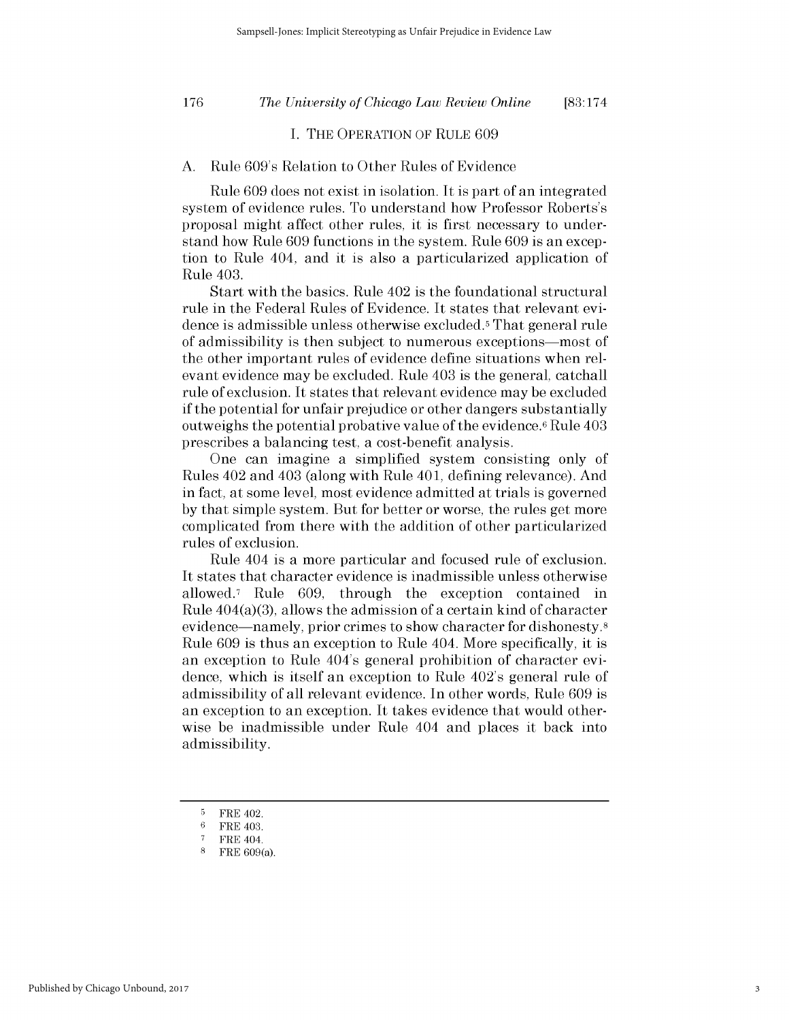*The University of Chicago Law Review Online* **176 [83:174**

## **I.** THE OPERATION OF RULE **609**

## **A.** Rule 609's Relation to Other Rules of Evidence

Rule **609** does not exist in isolation. It is part of an integrated system of evidence rules. To understand how Professor Roberts's proposal might affect other rules, it is first necessary to understand how Rule **609** functions in the system. Rule **609** is an exception to Rule 404, and it is also a particularized application of Rule 403.

Start with the basics. Rule 402 is the foundational structural rule in the Federal Rules of Evidence. It states that relevant evidence is admissible unless otherwise excluded. That general rule of admissibility is then subject to numerous exceptions-most of the other important rules of evidence define situations when relevant evidence may be excluded. Rule 403 is the general, catchall rule of exclusion. It states that relevant evidence may be excluded if the potential for unfair prejudice or other dangers substantially outweighs the potential probative value of the evidence.6 Rule 403 prescribes a balancing test, a cost-benefit analysis.

One can imagine a simplified system consisting only of Rules 402 and 403 (along with Rule **401,** defining relevance). And in fact, at some level, most evidence admitted at trials is governed **by** that simple system. But for better or worse, the rules get more complicated from there with the addition of other particularized rules of exclusion.

Rule 404 is a more particular and focused rule of exclusion. It states that character evidence is inadmissible unless otherwise allowed.7 Rule **609,** through the exception contained in Rule 404(a)(3), allows the admission of a certain kind of character evidence—namely, prior crimes to show character for dishonesty.<sup>8</sup> Rule **609** is thus an exception to Rule 404. More specifically, it **is** an exception to Rule 404's general prohibition of character evidence, which is itself an exception to Rule 402's general rule of admissibility of all relevant evidence. In other words, Rule **609 is** an exception to an exception. It takes evidence that would otherwise be inadmissible under Rule 404 and places it back into admissibility.

**<sup>5</sup>** FRE 402.

**<sup>6</sup>** FRE 403.

<sup>&</sup>lt;sup>7</sup> FRE 404.

**<sup>8</sup>** FRE 609(a).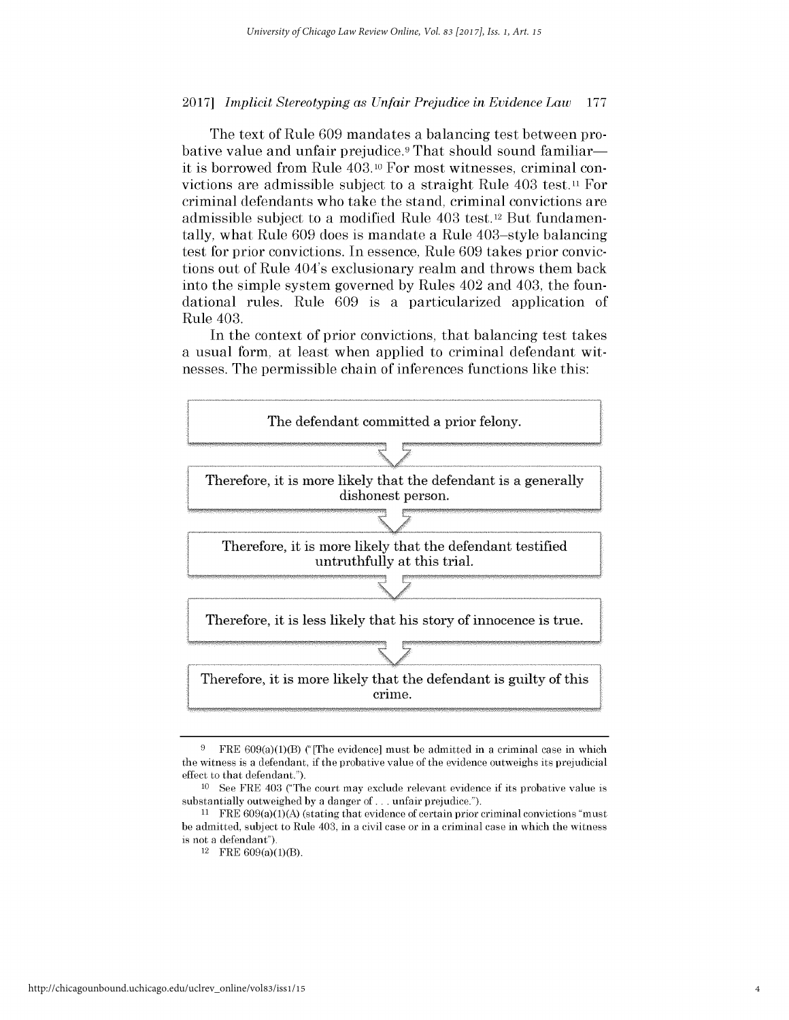The text of Rule **609** mandates a balancing test between probative value and unfair prejudice.<sup>9</sup> That should sound familiarit is borrowed from Rule 403.10 For most witnesses, criminal convictions are admissible subject to a straight Rule 403 test.<sup>11</sup> For criminal defendants who take the stand, criminal convictions are admissible subject to a modified Rule 403 test.<sup>12</sup> But fundamentally, what Rule **609** does is mandate a Rule 403-style balancing test for prior convictions. In essence, Rule **609** takes prior convictions out of Rule 404's exclusionary realm and throws them back into the simple system governed **by** Rules 402 and 403, the foundational rules. Rule **609** is a particularized application of Rule 403.

In the context of prior convictions, that balancing test takes a usual form, at least when applied to criminal defendant witnesses. The permissible chain of inferences functions like this:



**<sup>9</sup>**FRE 609(a)(1)(B) ("[The evidence] must **be** admitted in a criminal case in which the witness is a defendant, if the probative value of the evidence outweighs its prejudicial effect to that defendant.").

**<sup>10</sup> See** FRE 403 ("The court may exclude relevant evidence if its probative value is substantially outweighed **by** a danger of **. ..** unfair prejudice.").

**<sup>11</sup>**FRE 609(a)(1)(A) (stating that evidence of certain prior criminal convictions "must **be** admitted, subject to Rule 403, in a civil case or in a criminal case in which the witness is not a defendant").

 $12$  FRE  $609(a)(1)(B)$ .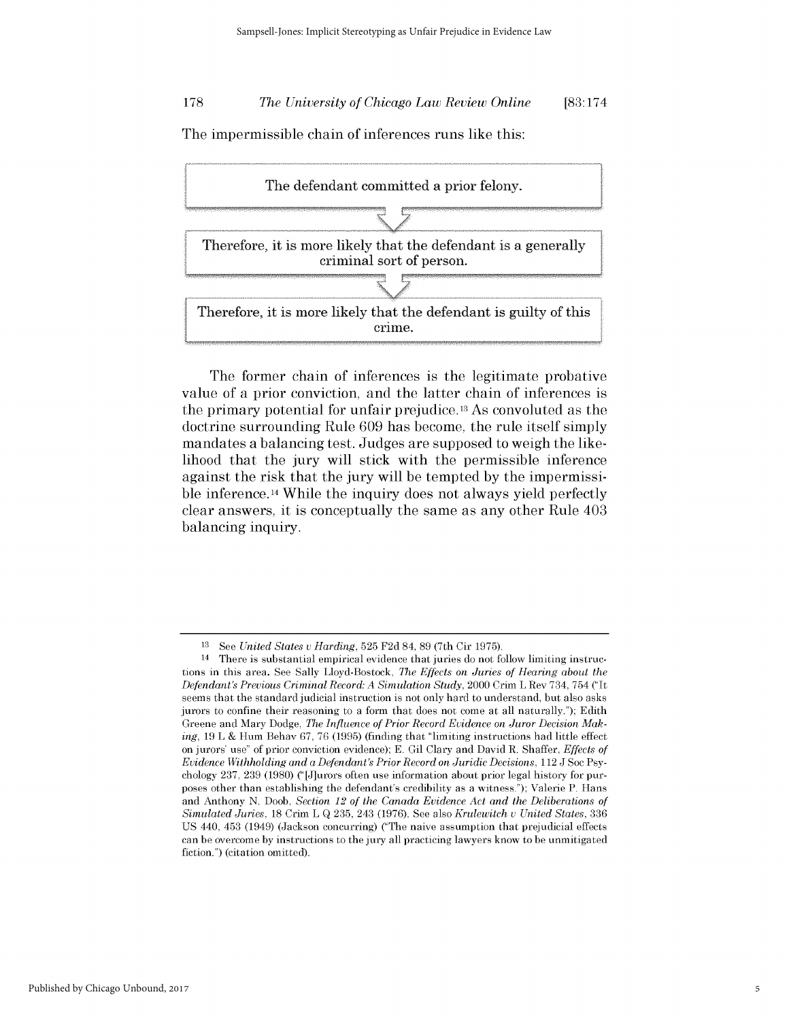## *The University of Chicago Law Review Online* **178 [83:174**

The impermissible chain of inferences runs like this:



The former chain of inferences is the legitimate probative value of a prior conviction, and the latter chain of inferences **is** the primary potential for unfair prejudice.13 As convoluted as the doctrine surrounding Rule **609** has become, the rule itself simply mandates a balancing test. Judges are supposed to weigh the likelihood that the jury will stick with the permissible inference against the risk that the jury will be tempted **by** the impermissible inference.14 While the inquiry does not always yield perfectly clear answers, it is conceptually the same as any other Rule 403 balancing inquiry.

**<sup>13</sup>**See *United States v Harding,* **525 F2d** 84, **89** (7th Cir **1975).**

<sup>14</sup> There is substantial empirical evidence that juries do not follow limiting instructions in this area. **See** Sally Lloyd-Bostock, *The Effects on Juries of Hearing about the Defendant's Previous Criminal Record: A Simulation Study,* 2000 Crim L Rev 734, 754 ("It seems that the standard judicial instruction is not only hard to understand, but also asks jurors to confine their reasoning to a form that does not come at all naturally."); Edith Greene and Mary Dodge, *The Influence of Prior Record Evidence on Juror Decision Making,* **19** L **&** Hum Behav **67, 76 (1995)** (finding that "limiting instructions had little effect on jurors' use" of prior conviction evidence); **E.** Gil Clary and David R. Shaffer, *Effects of Evidence Withholding and a Defendant's Prior Record on Juridic Decisions,* 112 **J** Soc Psychology **237, 239 (1980)** ("[J]urors often use information about prior legal history for purposes other than establishing the defendant's credibility as a witness."); Valerie P. Hans and Anthony **N.** Doob, *Section 12 of the Canada Evidence Act and the Deliberations of Simulated Juries,* **18** Crim L **Q 235,** 243 **(1976). See** also *Krulewitch v United States, 336* **US** 440, 453 (1949) (Jackson concurring) ("The naive assumption that prejudicial effects can **be** overcome **by** instructions to the jury all practicing lawyers know to **be** unmitigated fiction.") (citation omitted).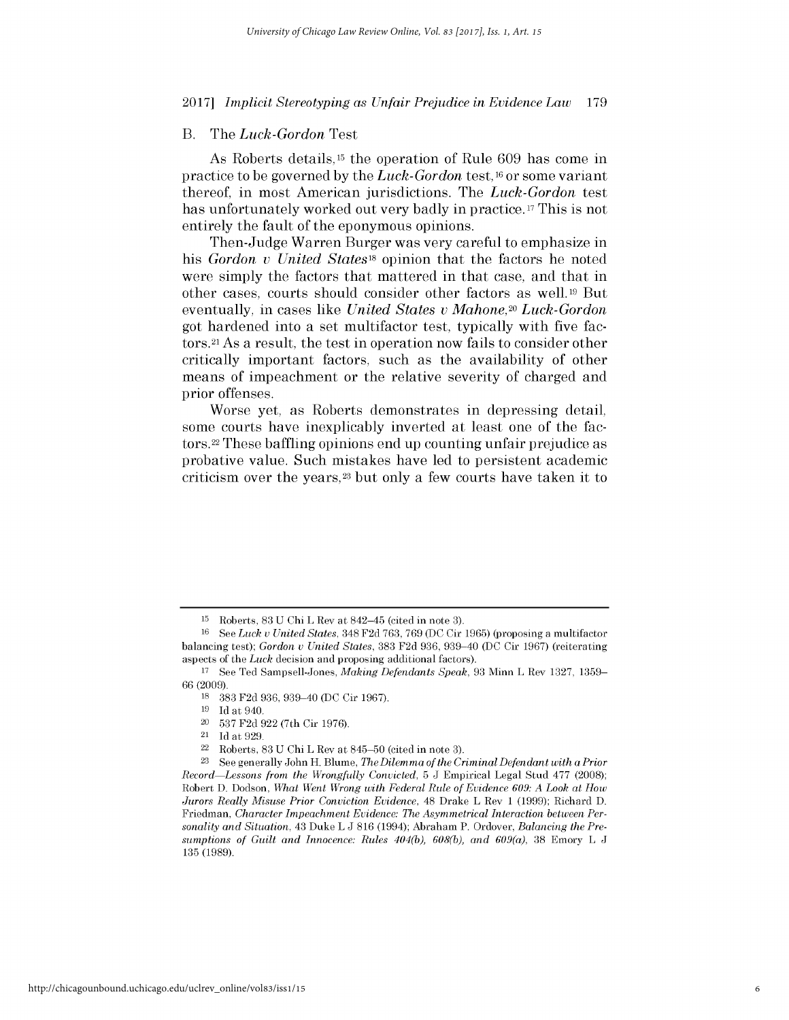## B. The *Luck-Gordon Test*

As Roberts details, 15 the operation of Rule **609** has come in practice to be governed **by** the *Luck-Gordon* test, <sup>1</sup>6 or some variant thereof, in most American jurisdictions. The *Luck-Gordon test* has unfortunately worked out very badly in practice. **17** This is not entirely the fault of the eponymous opinions.

Then-Judge Warren Burger was very careful to emphasize in *his Gordon v United States18* opinion that the factors he noted were simply the factors that mattered in that case, and that in other cases, courts should consider other factors as well.19 But eventually, in cases like *United States v Mahone,20 Luck-Gordon* got hardened into a set multifactor test, typically with five factors.<sup>21</sup> As a result, the test in operation now fails to consider other critically important factors, such as the availability of other means of impeachment or the relative severity of charged and prior offenses.

Worse yet, as Roberts demonstrates in depressing detail, some courts have inexplicably inverted at least one of the factors. <sup>22</sup>These baffling opinions end up counting unfair prejudice as probative value. Such mistakes have led to persistent academic criticism over the years, <sup>23</sup>but only a few courts have taken it to

**<sup>15</sup>**Roberts, **83 U** Chi L Rev at 842-45 (cited in note **3).**

**<sup>16</sup>See** *Luck v United States,* 348 **F2d 763, 769 (DC** Cir **1965)** (proposing a multifactor balancing test); *Gordon v United States,* **383 F2d** 936, 939-40 **(DC** Cir 1967) (reiterating aspects of the *Luck* decision and proposing additional factors).

**<sup>17</sup>**See Ted Sampsell-Jones, *Making Defendants Speak,* **93** Minn L Rev **1327, 1359- 66 (2009).**

**<sup>18</sup>383 F2d 936,** 939-40 **(DC** Cir **1967).**

**<sup>19</sup> Id** at 940.

<sup>20</sup>**537 F2d 922** (7th Cir **1976).**

<sup>21</sup>**Id** at **929.**

<sup>22</sup>Roberts, **83 U** Chi L Rev at **845-50** (cited in note **3).**

**<sup>23</sup>See** generally John H. Blume, *The Dilemma of the Criminal Defendant with a Prior Record Lessons from the Wrongfully Convicted,* **5 J** Empirical Legal Stud **477 (2008);** Robert **D.** Dodson, *What Went Wrong with Federal Rule of Evidence 609: A Look at How Jurors Really Misuse Prior Conviction Evidence,* 48 Drake L Rev **1 (1999);** Richard **D.** Friedman, *Character Impeachment Evidence: The Asymmetrical Interaction between Personality and Situation,* 43 Duke L **J 816** (1994); Abraham P. Ordover, *Balancing the Presumptions of Guilt and Innocence: Rules 404(b), 608(b), and 609(a),* **38** Emory L **J 135 (1989).**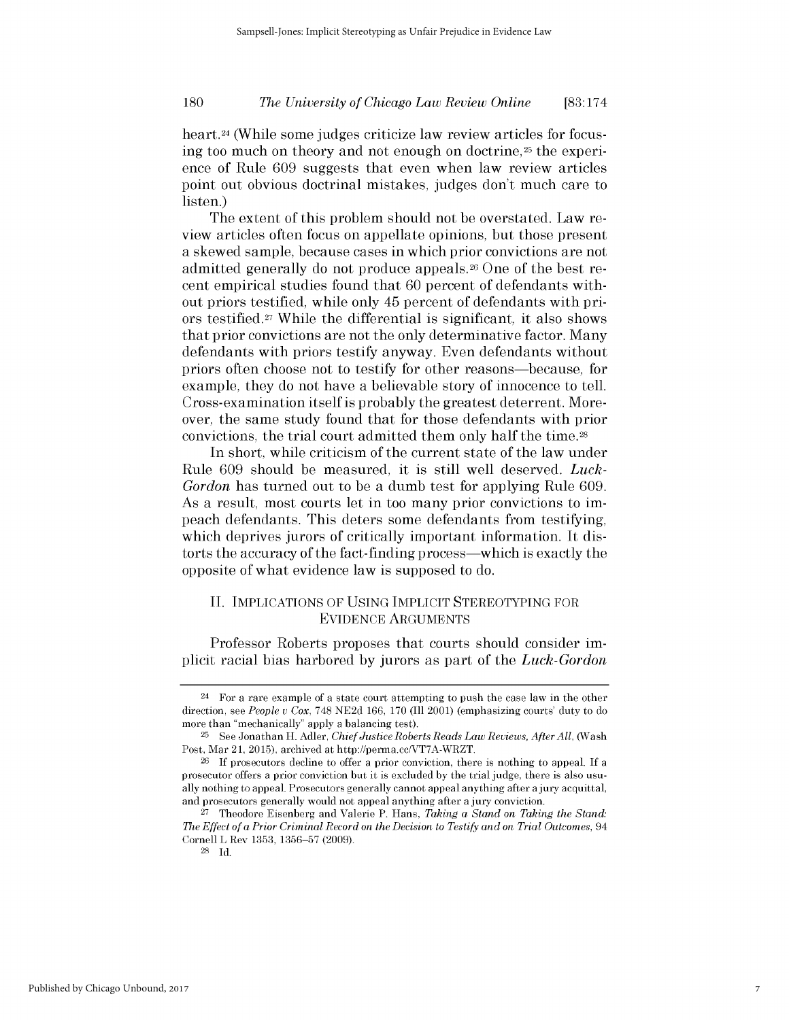*The University of Chicago Law Review Online* **180 [83:174**

heart.<sup>24</sup> (While some judges criticize law review articles for focusing too much on theory and not enough on doctrine,<sup>25</sup> the experience of Rule **609** suggests that even when law review articles point out obvious doctrinal mistakes, judges don't much care to listen.)

The extent of this problem should not be overstated. Law review articles often focus on appellate opinions, but those present a skewed sample, because cases in which prior convictions are not admitted generally do not produce appeals.<sup>26</sup> One of the best recent empirical studies found that **60** percent of defendants without priors testified, while only 45 percent of defendants with priors testified.27 While the differential is significant, it also shows that prior convictions are not the only determinative factor. Many defendants with priors testify anyway. Even defendants without priors often choose not to testify for other reasons-because, for example, they do not have a believable story of innocence to tell. Cross-examination itself is probably the greatest deterrent. Moreover, the same study found that for those defendants with prior convictions, the trial court admitted them only half the time.28

In short, while criticism of the current state of the law under Rule **609** should be measured, it is still well deserved. *Luck-Gordon* has turned out to be a dumb test for applying Rule **609.** As a result, most courts let in too many prior convictions to **im**peach defendants. This deters some defendants from testifying, which deprives jurors of critically important information. It **dis**torts the accuracy of the fact-finding process—which is exactly the opposite of what evidence law is supposed to do.

## **II. IMPLICATIONS** OF **USING** IMPLICIT STEREOTYPING FOR **EVIDENCE ARGUMENTS**

Professor Roberts proposes that courts should consider **im**plicit racial bias harbored **by** jurors as part of the *Luck-Gordon*

7

 $24$  For a rare example of a state court attempting to push the case law in the other direction, see *People v Cox,* **748 NE2d 166, 170** (Ill 2001) (emphasizing courts' duty to do more than "mechanically" apply a balancing test).

**<sup>25</sup>See** Jonathan H. Adler, *Chief Justice Roberts Reads Law Reviews, After All,* (Wash Post, Mar 21, **2015),** archived at http://perma.cc/VT7A-WRZT.

**<sup>26</sup>If** prosecutors decline to offer a prior conviction, there is nothing to appeal. **If** <sup>a</sup> prosecutor offers a prior conviction but it is excluded **by** the trial **judge,** there is also usually nothing to appeal. Prosecutors generally cannot appeal anything after a jury acquittal, and prosecutors generally would not appeal anything after a jury conviction.

**<sup>27</sup>**Theodore Eisenberg and Valerie P. Hans, *Taking a Stand on Taking the Stand: The Effect of a Prior Criminal Record on the Decision to Testify and on Trial Outcomes,* 94 Cornell L Rev **1353, 1356-57 (2009).**

**<sup>28</sup> Id.**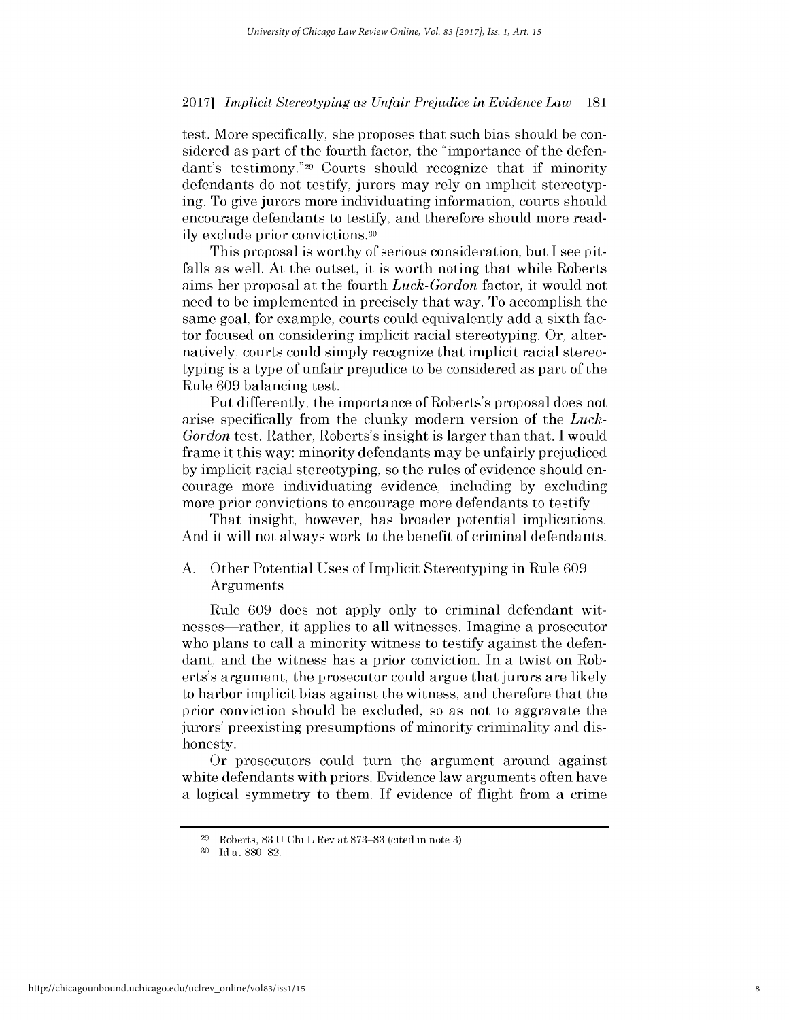test. More specifically, she proposes that such bias should be considered as part of the fourth factor, the "importance of the defendant's testimony."29 Courts should recognize that **if** minority defendants do not testify, jurors may rely on implicit stereotyping. To give jurors more individuating information, courts should encourage defendants to testify, and therefore should more readily exclude prior convictions.30

This proposal is worthy of serious consideration, but **I** see pitfalls as well. At the outset, it is worth noting that while Roberts aims her proposal at the fourth *Luck-Gordon* factor, it would not need to be implemented in precisely that way. To accomplish the same goal, for example, courts could equivalently add a sixth factor focused on considering implicit racial stereotyping. Or, alternatively, courts could simply recognize that implicit racial stereotyping is a type of unfair prejudice to be considered as part of the Rule **609** balancing test.

Put differently, the importance of Roberts's proposal does not arise specifically from the clunky modern version of the *Luck-Gordon* test. Rather, Roberts's insight is larger than that. **I** would frame it this way: minority defendants may be unfairly prejudiced **by** implicit racial stereotyping, so the rules of evidence should encourage more individuating evidence, including **by** excluding more prior convictions to encourage more defendants to testify.

That insight, however, has broader potential implications. And it will not always work to the benefit of criminal defendants.

## **A.** Other Potential Uses of Implicit Stereotyping in Rule **609** Arguments

Rule **609** does not apply only to criminal defendant witnesses-rather, it applies to all witnesses. Imagine a prosecutor who plans to call a minority witness to testify against the defendant, and the witness has a prior conviction. In a twist on Roberts's argument, the prosecutor could argue that jurors are likely to harbor implicit bias against the witness, and therefore that the prior conviction should be excluded, so as not to aggravate the jurors' preexisting presumptions of minority criminality and **dis**honesty.

Or prosecutors could turn the argument around against white defendants with priors. Evidence law arguments often have a logical symmetry to them. **If** evidence of flight from a crime

**<sup>29</sup>**Roberts, **83 U** Chi L Rev at **873-83** (cited in note **3).**

**<sup>30</sup>Id** at **880-82.**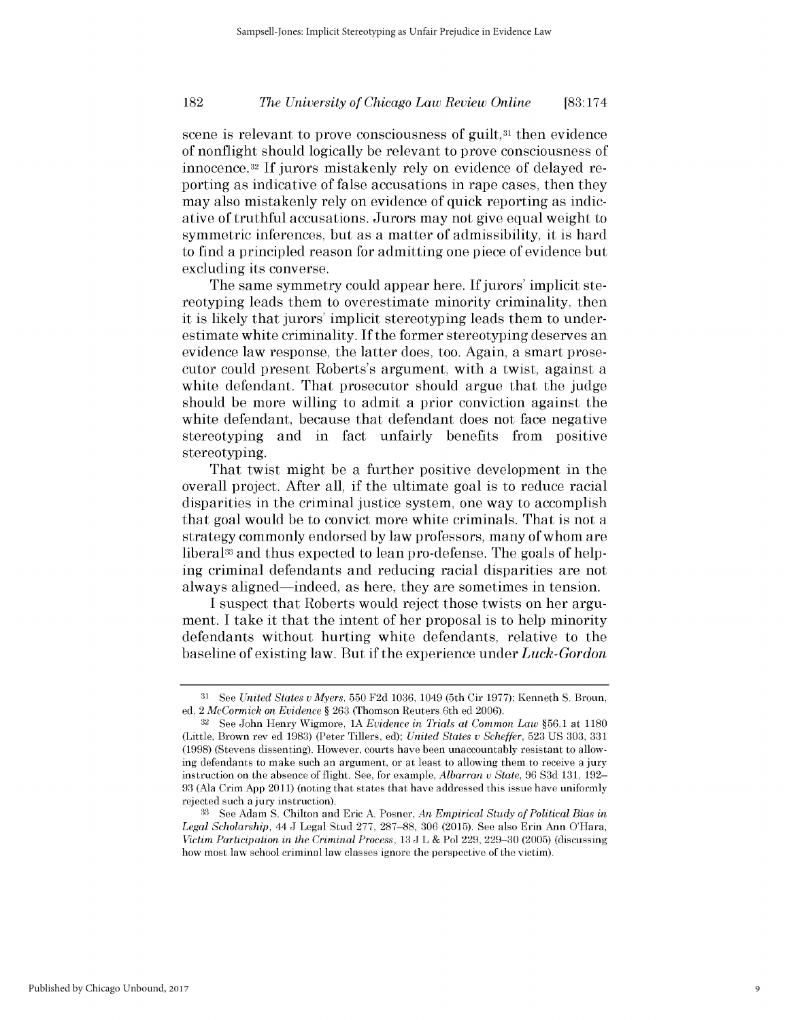## *The University of Chicago Law Review Online* **182 [83:174**

scene is relevant to prove consciousness of guilt,<sup>31</sup> then evidence of nonflight should logically be relevant to prove consciousness of innocence. <sup>3</sup>2 **If** jurors mistakenly rely on evidence of delayed reporting as indicative of false accusations in rape cases, then they may also mistakenly rely on evidence of quick reporting as indicative of truthful accusations. Jurors may not give equal weight to symmetric inferences, but as a matter of admissibility, it is hard to find a principled reason for admitting one piece of evidence but excluding its converse.

The same symmetry could appear here. **If** jurors' implicit stereotyping leads them to overestimate minority criminality, then it is likely that jurors' implicit stereotyping leads them to underestimate white criminality. **If** the former stereotyping deserves an evidence law response, the latter does, too. Again, a smart prosecutor could present Roberts's argument, with a twist, against a white defendant. That prosecutor should argue that the judge should be more willing to admit a prior conviction against the white defendant, because that defendant does not face negative stereotyping and in fact unfairly benefits from positive stereotyping.

That twist might be a further positive development in the overall project. After all, **if** the ultimate goal is to reduce racial disparities in the criminal justice system, one way to accomplish that goal would be to convict more white criminals. That is not a strategy commonly endorsed **by** law professors, many of whom are liberal<sup>33</sup> and thus expected to lean pro-defense. The goals of helping criminal defendants and reducing racial disparities are not always aligned-indeed, as here, they are sometimes in tension.

**I** suspect that Roberts would reject those twists on her argument. I take it that the intent of her proposal is to help minority defendants without hurting white defendants, relative to the baseline of existing law. But **if** the experience under *Luck-Gordon*

9

**<sup>31</sup>**See *United States v Myers,* **550 F2d 1036,** 1049 (5th Cir **1977);** Kenneth **S.** Broun, **ed,** 2 *McCormick on Evidence §* **263** (Thomson Reuters 6th **ed** 2006).

**<sup>32</sup>**See John Henry Wigmore, **1A** *Evidence in Trials at Common Law* **§56.1** at **1180** (Little, Brown rev **ed 1983)** (Peter Tillers, **ed);** *United States v Scheffer,* **523 US 303, 331 (1998)** (Stevens dissenting). However, courts have been unaccountably resistant to allowing defendants to make such an argument, or at least to allowing them to receive a jury instruction on the absence of flight. **See,** for example, *Albarran v State,* **96 S3d 131, 192- 93** (Ala Crim **App 2011)** (noting that states that have addressed this issue have uniformly rejected such a jury instruction).

**<sup>33</sup> See** Adam **S.** Chilton and Eric **A.** Posner, *An Empirical Study of Political Bias in Legal Scholarship, 44* **J** Legal Stud **277, 287-88, 306 (2015). See** also Erin Ann O'Hara, *Victim Participation in the Criminal Process,* **13 J** L **&** Pol **229, 229-30 (2005)** (discussing how most law school criminal law classes ignore the perspective of the victim).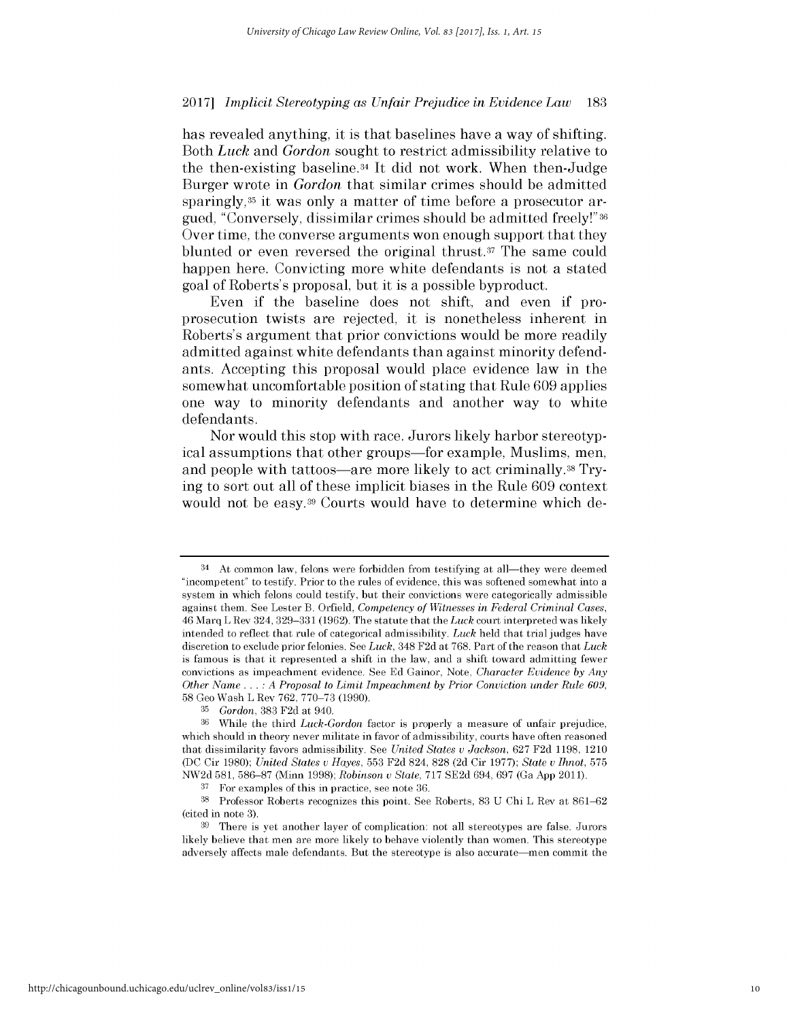has revealed anything, it is that baselines have a way of shifting. Both *Luck and Gordon* sought to restrict admissibility relative to the then-existing baseline.34 It **did** not work. When then-Judge Burger wrote in *Gordon* that similar crimes should be admitted sparingly,<sup>35</sup> it was only a matter of time before a prosecutor argued, "Conversely, dissimilar crimes should be admitted freely!" **<sup>36</sup>** Over time, the converse arguments won enough support that they blunted or even reversed the original thrust.37 The same could happen here. Convicting more white defendants is not a stated goal of Roberts's proposal, but it is a possible byproduct.

Even **if** the baseline does not shift, and even **if** proprosecution twists are rejected, it is nonetheless inherent in Roberts's argument that prior convictions would be more readily admitted against white defendants than against minority defendants. Accepting this proposal would place evidence law in the somewhat uncomfortable position of stating that Rule **609** applies one way to minority defendants and another way to white defendants.

Nor would this stop with race. Jurors likely harbor stereotypical assumptions that other groups—for example, Muslims, men, and people with tattoos-are more likely to act criminally.<sup>38</sup> Trying to sort out all of these implicit biases in the Rule **609** context would not be easy.<sup>39</sup> Courts would have to determine which de-

<sup>&</sup>lt;sup>34</sup> At common law, felons were forbidden from testifying at all—they were deemed "incompetent" to testify. Prior to the rules of evidence, this was softened somewhat into a system in which felons could testify, but their convictions were categorically admissible against them. **See** Lester B. Orfield, *Competency of Witnesses in Federal Criminal Cases,* 46 Marq L Rev 324, **329-331 (1962).** The statute that the *Luck* court interpreted was **likely** intended to reflect that rule of categorical admissibility. *Luck* **held** that trial judges have discretion to exclude prior felonies. **See** *Luck,* 348 **F2d** at **768.** Part of the reason that *Luck* is famous is that it represented a shift in the law, and a shift toward admitting fewer convictions as impeachment evidence. **See Ed** Gainor, Note, *Character Evidence by Any Other Name ...* **:** *A Proposal to Limit Impeachment by Prior Conviction under Rule 609,* **58** Geo Wash L Rev 762, **770-73 (1990).**

**<sup>35</sup>***Gordon,* **383 F2d** at 940.

**<sup>36</sup>**While the third *Luck-Gordon* factor is properly a measure of unfair prejudice, which should in theory never militate in favor of admissibility, courts have often reasoned that dissimilarity favors admissibility. **See** *United States v Jackson,* 627 **F2d 1198,** 1210 **(DC** Cir **1980);** *United States v Hayes,* **553 F2d** 824, **828 (2d** Cir **1977);** *State v Ihnot,* **575 NW2d 581, 586-87** (Minn **1998);** *Robinson v State,* **717 SE2d** 694, 697 (Ga **App 2011).**

**<sup>37</sup>**For examples of this in practice, see note **36.**

**<sup>38</sup>**Professor Roberts recognizes this point. **See** Roberts, **83 U** Chi L Rev at **861-62** (cited in note **3).**

**<sup>39</sup>**There is yet another layer of complication: not all stereotypes are false. Jurors **likely** believe that men are more **likely** to behave violently than women. This stereotype adversely affects male defendants. But the stereotype is also accurate-men commit the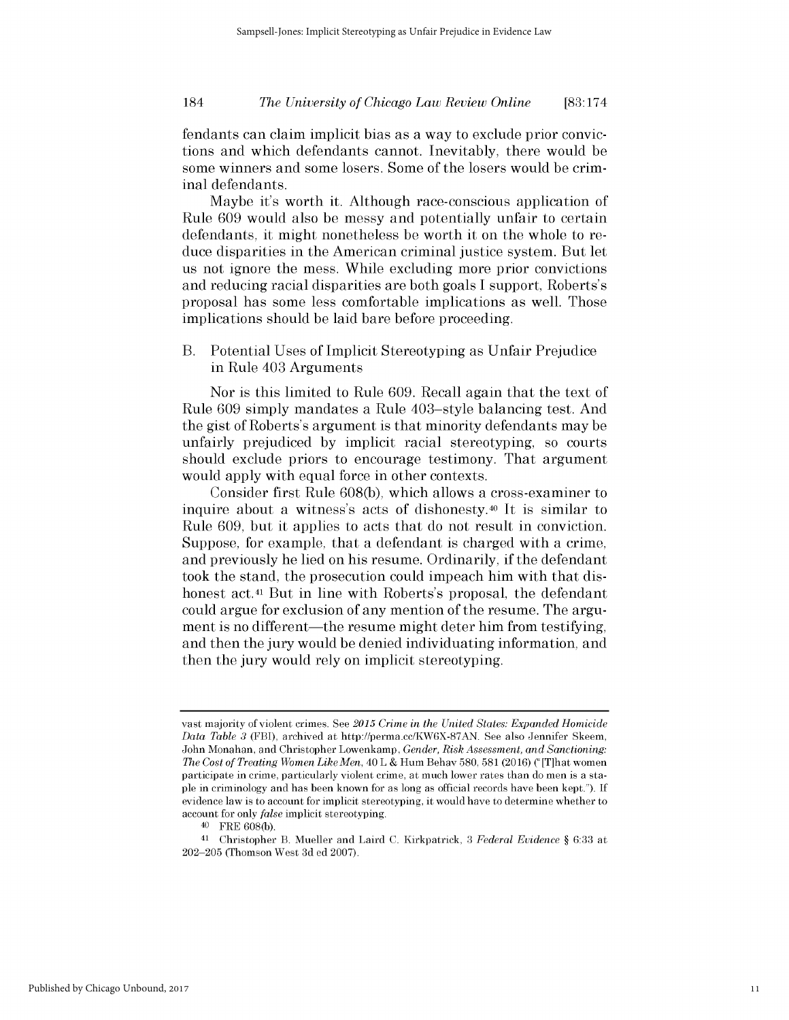## *The University of Chicago Law Review Online* 184 **[83:174**

fendants can claim implicit bias as a way to exclude prior convictions and which defendants cannot. Inevitably, there would be some winners and some losers. Some of the losers would be criminal defendants.

Maybe it's worth it. Although race-conscious application of Rule **609** would also be messy and potentially unfair to certain defendants, it might nonetheless be worth it on the whole to reduce disparities in the American criminal justice system. But let us not ignore the mess. While excluding more prior convictions and reducing racial disparities are both goals **I** support, Roberts's proposal has some less comfortable implications as well. Those implications should be laid bare before proceeding.

B. Potential Uses of Implicit Stereotyping as Unfair Prejudice in Rule 403 Arguments

Nor is this limited to Rule **609.** Recall again that the text of Rule **609** simply mandates a Rule 403-style balancing test. And the gist of Roberts's argument is that minority defendants may be unfairly prejudiced **by** implicit racial stereotyping, so courts should exclude priors to encourage testimony. That argument would apply with equal force in other contexts.

Consider first Rule **608(b),** which allows a cross-examiner to inquire about a witness's acts of dishonesty.40 It is similar to Rule **609,** but it applies to acts that do not result in conviction. Suppose, for example, that a defendant is charged with a crime, and previously he lied on his resume. Ordinarily, **if** the defendant took the stand, the prosecution could impeach him with that **dis**honest act.<sup>41</sup> But in line with Roberts's proposal, the defendant could argue for exclusion of any mention of the resume. The argument is no different—the resume might deter him from testifying, and then the jury would be denied individuating information, and then the jury would rely on implicit stereotyping.

<sup>40</sup>FRE **608(b).**

vast majority of violent crimes. **See** *2015 Crime in the United States: Expanded Homicide Data Table 3* (FBI), archived at http://perma.cc/KW6X-87AN. **See** also Jennifer Skeem, John Monahan, and Christopher Lowenkamp, *Gender, Risk Assessment, and Sanctioning: The Cost of Treating Women Like Men,* 40 L **&** Hum Behav **580, 581** (2016) **("** [T]hat women participate in crime, particularly violent crime, at much lower rates than do men is a sta**ple** in criminology and has been known for as long as official records have been kept."). **If** evidence law is to account for implicit stereotyping, it would have to determine whether to account for only *false* implicit stereotyping.

**<sup>41</sup>**Christopher B. Mueller and Laird **C.** Kirkpatrick, **3** *Federal Evidence §* **6:33** at **202-205** (Thomson West **3d ed 2007).**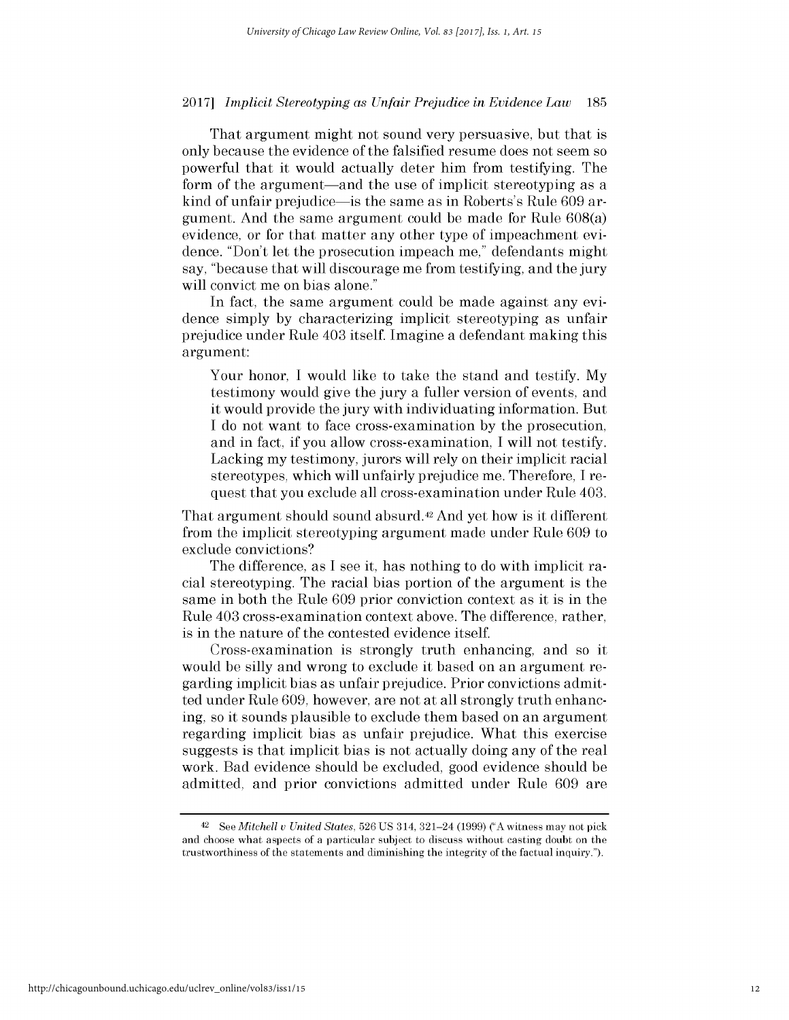That argument might not sound very persuasive, but that **is** only because the evidence of the falsified resume does not seem so powerful that it would actually deter him from testifying. The form of the argument—and the use of implicit stereotyping as a kind of unfair prejudice-is the same as in Roberts's Rule **609** argument. And the same argument could be made for Rule 608(a) evidence, or for that matter any other type of impeachment evidence. "Don't let the prosecution impeach me," defendants might say, "because that will discourage me from testifying, and the jury will convict me on bias alone."

In fact, the same argument could be made against any evidence simply **by** characterizing implicit stereotyping as unfair prejudice under Rule 403 itself. Imagine a defendant making this argument:

Your honor, **I** would like to take the stand and testify. **My** testimony would give the jury a fuller version of events, and it would provide the jury with individuating information. But **<sup>I</sup>**do not want to face cross-examination **by** the prosecution, and in fact, **if** you allow cross-examination, **I** will not testify. Lacking my testimony, jurors will rely on their implicit racial stereotypes, which will unfairly prejudice me. Therefore, **I** request that you exclude all cross-examination under Rule 403.

That argument should sound absurd.42 And yet how is it different from the implicit stereotyping argument made under Rule **609** to exclude convictions?

The difference, as **I** see it, has nothing to do with implicit racial stereotyping. The racial bias portion of the argument is the same in both the Rule **609** prior conviction context as it is in the Rule 403 cross-examination context above. The difference, rather, is in the nature of the contested evidence itself.

Cross-examination is strongly truth enhancing, and so it would be silly and wrong to exclude it based on an argument regarding implicit bias as unfair prejudice. Prior convictions admitted under Rule **609,** however, are not at all strongly truth enhancing, so it sounds plausible to exclude them based on an argument regarding implicit bias as unfair prejudice. What this exercise suggests is that implicit bias is not actually doing any of the real work. Bad evidence should be excluded, good evidence should be admitted, and prior convictions admitted under Rule **609** are

**<sup>42</sup>***See Mitchell u United States,* **526 US** 314, 321-24 **(1999) ("A** witness may not pick and choose what aspects of a particular subject to discuss without casting doubt on the trustworthiness of the statements and diminishing the integrity of the factual inquiry.").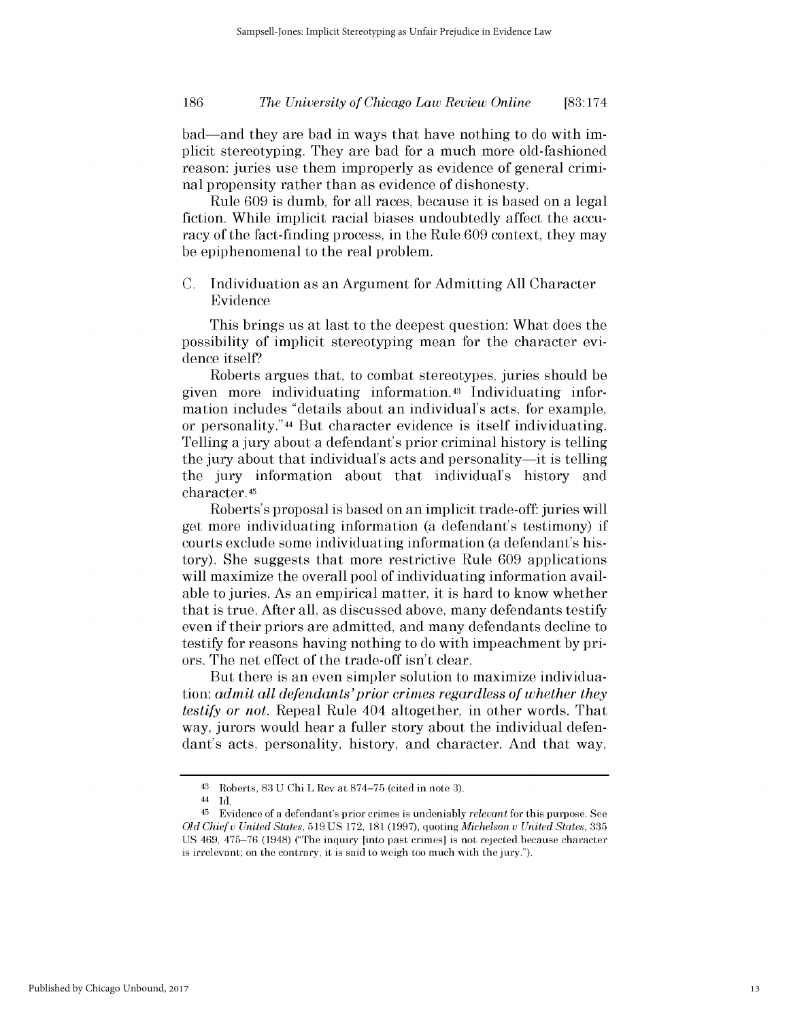## *The University of Chicago Law Review Online* **186 [83:174**

bad-and they are bad in ways that have nothing to do with **im**plicit stereotyping. They are bad for a much more old-fashioned reason: juries use them improperly as evidence of general criminal propensity rather than as evidence of dishonesty.

Rule **609** is dumb, for all races, because it is based on a legal fiction. While implicit racial biases undoubtedly affect the accuracy of the fact-finding process, in the Rule **609** context, they may be epiphenomenal to the real problem.

**C.** Individuation as an Argument for Admitting **All** Character Evidence

This brings us at last to the deepest question: What does the possibility of implicit stereotyping mean for the character evidence itself?

Roberts argues that, to combat stereotypes, juries should be given more individuating information.43 Individuating information includes "details about an individual's acts, for example, or personality."44 But character evidence is itself individuating. Telling a jury about a defendant's prior criminal history is telling the jury about that individual's acts and personality-it is telling the jury information about that individual's history and character.45

Roberts's proposal is based on an implicit trade-off: juries will get more individuating information (a defendant's testimony) **if** courts exclude some individuating information (a defendant's history). She suggests that more restrictive Rule **609** applications will maximize the overall pool of individuating information available to juries. As an empirical matter, it is hard to know whether that is true. After all, as discussed above, many defendants testify even **if** their priors are admitted, and many defendants decline to testify for reasons having nothing to do with impeachment **by** priors. The net effect of the trade-off isn't clear.

But there is an even simpler solution to maximize individuation: *admit all defendants'prior crimes regardless of whether they testify or not.* Repeal Rule 404 altogether, in other words. That way, jurors would hear a fuller story about the individual defendant's acts, personality, history, and character. And that way,

<sup>43</sup> Roberts, **83 U** Chi L Rev at **874-75** (cited in note **3).**

<sup>44</sup> **Id.**

<sup>45</sup> Evidence of a defendant's prior crimes is undeniably *relevant* for this purpose. **See** *Old Chief u United States,* **519 US 172, 181 (1997),** quoting *Michelson v United States,* **335 US** 469, **475-76** (1948) ("The inquiry [into past crimes] is not rejected because character is irrelevant; on the contrary, **it** is said to weigh too much with the jury.").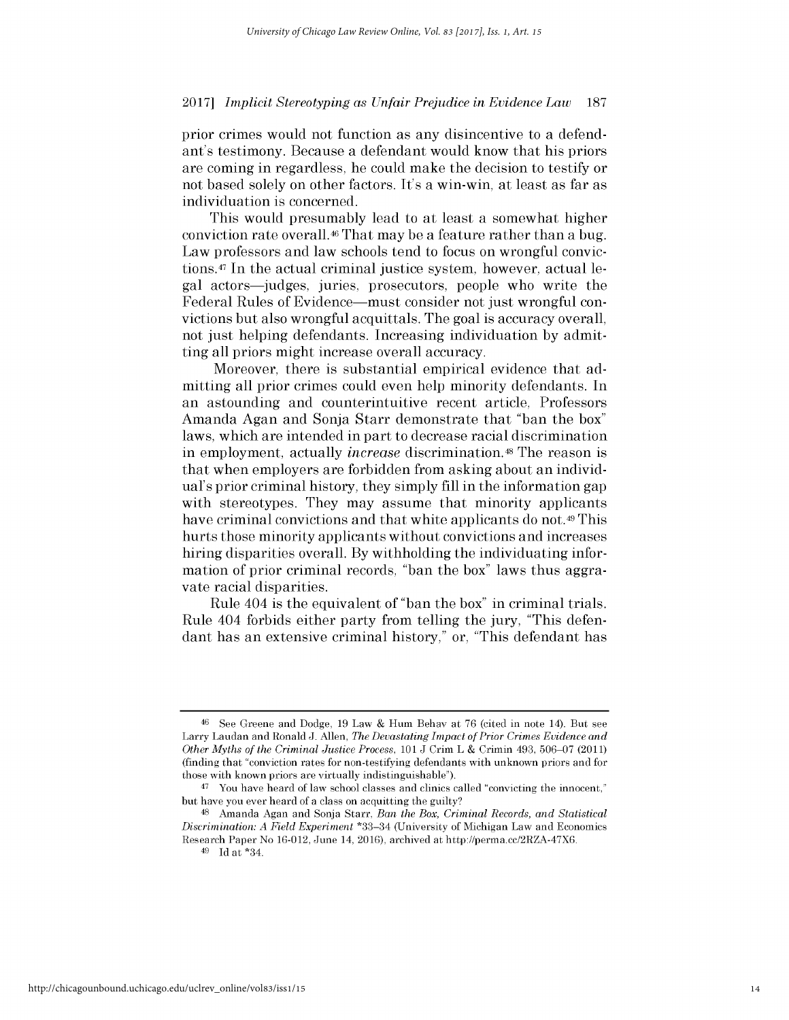prior crimes would not function as any disincentive to a defendant's testimony. Because a defendant would know that his priors are coming in regardless, he could make the decision to testify or not based solely on other factors. It's a win-win, at least as far as individuation is concerned.

This would presumably lead to at least a somewhat higher conviction rate overall.46 That may be a feature rather than a bug. Law professors and law schools tend to focus on wrongful convictions.47 In the actual criminal justice system, however, actual legal actors-judges, juries, prosecutors, people who write the Federal Rules of Evidence—must consider not just wrongful convictions but also wrongful acquittals. The goal is accuracy overall, not just helping defendants. Increasing individuation **by** admitting all priors might increase overall accuracy.

Moreover, there is substantial empirical evidence that admitting all prior crimes could even help minority defendants. In an astounding and counterintuitive recent article, Professors Amanda Agan and Sonja Starr demonstrate that "ban the box" laws, which are intended in part to decrease racial discrimination in employment, actually *increase* discrimination.48 The reason **is** that when employers are forbidden from asking about an individual's prior criminal history, they simply **fill** in the information gap with stereotypes. They may assume that minority applicants have criminal convictions and that white applicants do not.<sup>49</sup> This hurts those minority applicants without convictions and increases hiring disparities overall. **By** withholding the individuating information of prior criminal records, "ban the box" laws thus aggravate racial disparities.

Rule 404 is the equivalent of "ban the box" in criminal trials. Rule 404 forbids either party from telling the jury, "This defendant has an extensive criminal history," or, "This defendant has

**<sup>46</sup>**See Greene and Dodge, **19** Law **&** Hum Behav at **76** (cited in note 14). But see Larry Laudan and Ronald **J.** Allen, *The Devastating Impact of Prior Crimes Evidence and Other Myths of the Criminal Justice Process, 101* **J** Crim L **&** Crimin 493, **506-07** (2011) (finding that "conviction rates for non-testifying defendants with unknown priors and for those with known priors are virtually indistinguishable").

<sup>&</sup>lt;sup>47</sup> You have heard of law school classes and clinics called "convicting the innocent," but have you ever heard of a class on acquitting the guilty?

**<sup>48</sup>**Amanda Agan and Sonja Starr, *Ban the Box, Criminal Records, and Statistical Discrimination: A Field Experiment* \*33-34 (University of Michigan Law and Economics Research Paper No 16-012, June 14, 2016), archived at http://perma.cc/2RZA-47X6.

<sup>49</sup>**Id** at \*34.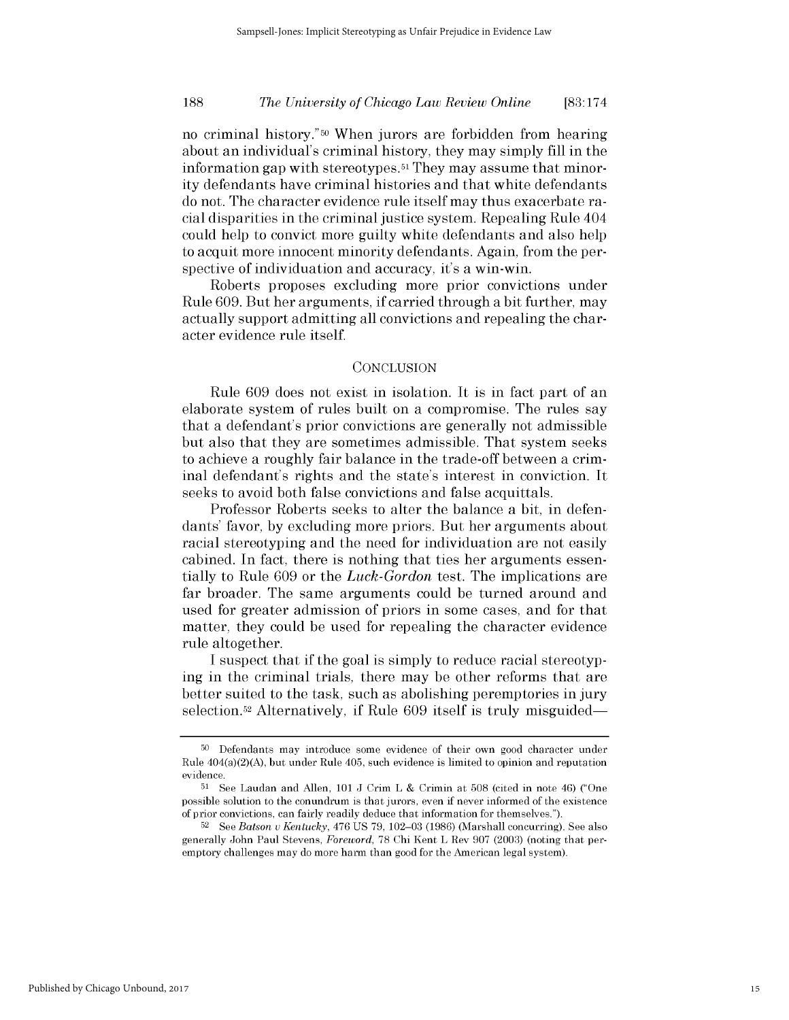## *The University of Chicago Law Review Online* **188 [83:174**

no criminal history."50 When jurors are forbidden from hearing about an individual's criminal history, they may simply **fill** in the information gap with stereotypes. <sup>51</sup>They may assume that minority defendants have criminal histories and that white defendants do not. The character evidence rule itself may thus exacerbate racial disparities in the criminal justice system. Repealing Rule 404 could help to convict more guilty white defendants and also help to acquit more innocent minority defendants. Again, from the perspective of individuation and accuracy, it's a win-win.

Roberts proposes excluding more prior convictions under Rule **609.** But her arguments, **if** carried through a bit further, may actually support admitting all convictions and repealing the character evidence rule itself.

### **CONCLUSION**

Rule **609** does not exist in isolation. It is in fact part of an elaborate system of rules built on a compromise. The rules say that a defendant's prior convictions are generally not admissible but also that they are sometimes admissible. That system seeks to achieve a roughly fair balance in the trade-off between a criminal defendant's rights and the state's interest in conviction. It seeks to avoid both false convictions and false acquittals.

Professor Roberts seeks to alter the balance a bit, in defendants' favor, **by** excluding more priors. But her arguments about racial stereotyping and the need for individuation are not easily cabined. In fact, there is nothing that ties her arguments essentially to Rule **609** or the *Luck-Gordon* test. The implications are far broader. The same arguments could be turned around and used for greater admission of priors in some cases, and for that matter, they could be used for repealing the character evidence rule altogether.

**I** suspect that **if** the goal is simply to reduce racial stereotyping in the criminal trials, there may be other reforms that are better suited to the task, such as abolishing peremptories in jury selection.52 Alternatively, **if** Rule **609** itself is truly misguided-

**<sup>50</sup>**Defendants may introduce some evidence of their own good character under Rule  $404(a)(2)(A)$ , but under Rule  $405$ , such evidence is limited to opinion and reputation evidence.

**<sup>51</sup>See** Laudan and Allen, **101 J** Crim L **&** Crimin at **508** (cited in note 46) ("One possible solution to the conundrum is that jurors, even if never informed of the existence of prior convictions, can fairly readily deduce that information for themselves.").

**<sup>52</sup>**See *Batson u Kentucky,* 476 **US 79, 102-03 (1986)** (Marshall concurring). **See** also generally John Paul Stevens, *Foreword,* **78** Chi Kent L Rev **907 (2003)** (noting that peremptory challenges may do more harm than good for the American legal system).